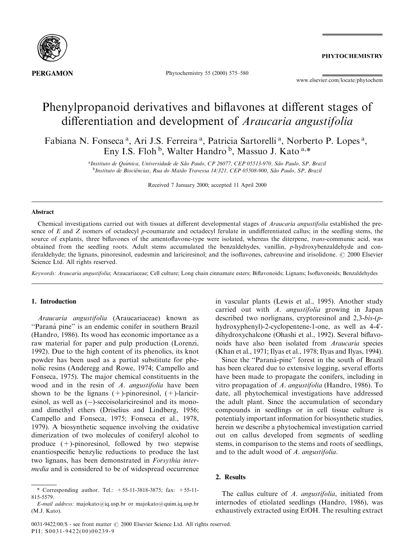

Phytochemistry 55 (2000) 575-580

**PHYTOCHEMISTRY** 

www.elsevier.com/locate/phytochem

# Phenylpropanoid derivatives and biflavones at different stages of differentiation and development of *Araucaria angustifolia*

Fabiana N. Fonseca<sup>a</sup>, Ari J.S. Ferreira<sup>a</sup>, Patricia Sartorelli<sup>a</sup>, Norberto P. Lopes<sup>a</sup>, Eny I.S. Floh  $\frac{b}{b}$ , Walter Handro  $\frac{b}{c}$ , Massuo J. Kato  $a.*$ 

> <sup>a</sup>Instituto de Química, Universidade de São Paulo, CP 26077, CEP 05513-970, São Paulo, SP, Brazil <sup>b</sup>Instituto de Biociências, Rua do Matão Travessa 14/321, CEP 05508-900, São Paulo, SP, Brazil

> > Received 7 January 2000; accepted 11 April 2000

## Abstract

Chemical investigations carried out with tissues at different developmental stages of Araucaria angustifolia established the presence of  $E$  and  $Z$  isomers of octadecyl p-coumarate and octadecyl ferulate in undifferentiated callus; in the seedling stems, the source of explants, three biflavones of the amentoflavone-type were isolated, whereas the diterpene, *trans*-communic acid, was obtained from the seedling roots. Adult stems accumulated the benzaldehydes, vanillin, p-hydroxybenzaldehyde and coniferaldehyde; the lignans, pinoresinol, eudesmin and lariciresinol; and the isoflavones, cabreuvine and irisolidone.  $\oslash$  2000 Elsevier Science Ltd. All rights reserved.

Keywords: Araucaria angustifolia; Araucariaceae; Cell culture; Long chain cinnamate esters; Biflavonoids; Lignans; Isoflavonoids; Benzaldehydes

## 1. Introduction

Araucaria angustifolia (Araucariaceae) known as "Paraná pine" is an endemic conifer in southern Brazil (Handro, 1986). Its wood has economic importance as a raw material for paper and pulp production (Lorenzi, 1992). Due to the high content of its phenolics, its knot powder has been used as a partial substitute for phenolic resins (Anderegg and Rowe, 1974; Campello and Fonseca, 1975). The major chemical constituents in the wood and in the resin of A. *angustifolia* have been shown to be the lignans  $(+)$ -pinoresinol,  $(+)$ -lariciresinol, as well as  $(-)$ -secoisolariciresinol and its monoand dimethyl ethers (Driselius and Lindberg, 1956; Campello and Fonseca, 1975; Fonseca et al., 1978, 1979). A biosynthetic sequence involving the oxidative dimerization of two molecules of coniferyl alcohol to produce (+)-pinoresinol, followed by two stepwise enantiospecific benzylic reductions to produce the last two lignans, has been demonstrated in Forsythia intermedia and is considered to be of widespread occurrence

in vascular plants (Lewis et al., 1995). Another study carried out with A. angustifolia growing in Japan described two norlignans, cryptoresinol and 2,3-bis-(phydroxyphenyl)-2-cyclopentene-1-one, as well as 4-4'dihydroxychalcone (Ohashi et al., 1992). Several biflavonoids have also been isolated from Araucaria species (Khan et al., 1971; Ilyas et al., 1978; Ilyas and Ilyas, 1994).

Since the "Paraná-pine" forest in the south of Brazil has been cleared due to extensive logging, several efforts have been made to propagate the conifers, including in vitro propagation of A. angustifolia (Handro, 1986). To date, all phytochemical investigations have addressed the adult plant. Since the accumulation of secondary compounds in seedlings or in cell tissue culture is potentialy important information for biosynthetic studies, herein we describe a phytochemical investigation carried out on callus developed from segments of seedling stems, in comparison to the stems and roots of seedlings, and to the adult wood of A. angustifolia.

# 2. Results

The callus culture of A. *angustifolia*, initiated from internodes of etiolated seedlings (Handro, 1986), was exhaustively extracted using EtOH. The resulting extract

<sup>\*</sup> Corresponding author. Tel.:  $+55-11-3818-3875$ ; fax:  $+55-11-$ 815-5579.

E-mail address: majokato@iq.usp.br or majokato@quim.iq.usp.br (M.J. Kato).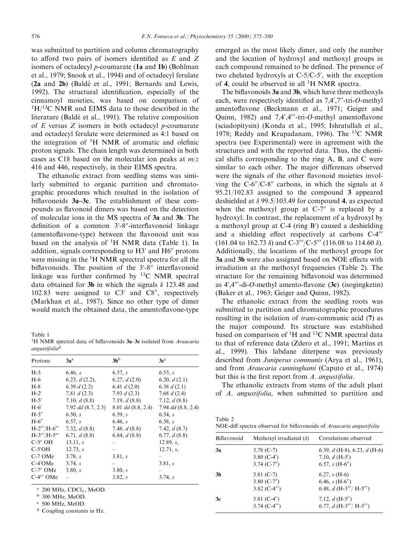was submitted to partition and column chromatography to afford two pairs of isomers identified as  $E$  and  $Z$ isomers of octadecyl p-coumarate (1a and 1b) (Bohlman et al., 1979; Snook et al., 1994) and of octadecyl ferulate  $(2a \text{ and } 2b)$  (Baldé et al., 1991; Bernards and Lewis, 1992). The structural identification, especially of the cinnamoyl moieties, was based on comparison of <sup>1</sup>H/<sup>13</sup>C NMR and EIMS data to those described in the literature (Baldé et al., 1991). The relative composition of  $E$  versus  $Z$  isomers in both octadecyl  $p$ -coumarate and octadecyl ferulate were determined as 4:1 based on the integration of <sup>1</sup>H NMR of aromatic and olefinic proton signals. The chain length was determined in both cases as C18 based on the molecular ion peaks at  $m/z$ 416 and 446, respectively, in their EIMS spectra.

The ethanolic extract from seedling stems was similarly submitted to organic partition and chromatographic procedures which resulted in the isolation of biflavonoids  $3a-3c$ . The establishment of these compounds as flavonoid dimers was based on the detection of molecular ions in the MS spectra of 3a and 3b. The definition of a common 3'-8"-interflavonoid linkage (amentoflavone-type) between the flavonoid unit was based on the analysis of  ${}^{1}H$  NMR data (Table 1). In addition, signals corresponding to  $H3'$  and  $H6''$  protons were missing in the <sup>1</sup>H NMR sprectral spectra for all the biflavonoids. The position of the 3'-8" interflavonoid linkage was further confirmed by  ${}^{13}C$  NMR spectral data obtained for 3b in which the signals  $\delta$  123.48 and 102.83 were assigned to  $C3'$  and  $C8''$ , respectively (Markhan et al., 1987). Since no other type of dimer would match the obtained data, the amentoflavone-type

Table 1

<sup>1</sup>H NMR spectral data of biflavonoids 3a-3c isolated from Araucaria angustifolia<sup>d</sup>

| Protons         | 3a <sup>a</sup>        | 3h <sup>b</sup>        | $3c^{\circ}$         |
|-----------------|------------------------|------------------------|----------------------|
| $H-3$           | 6.46, s                | 6.57, s                | 6.53, s              |
| $H-6$           | 6.23, $d(2.2)$ ,       | 6.27, $d(2.0)$         | 6.20, $d(2.1)$       |
| $H-8$           | 6.39 $d(2.2)$          | 6.41 $d(2.0)$          | 6.38 $d(2.1)$        |
| $H-2'$          | 7.81 $d(2.3)$          | 7.93 $d(2.3)$          | 7.68 $d(2.4)$        |
| $H-5'$          | 7.10, $d(8.8)$         | 7.19, $d(8.8)$         | 7.12, $d(8.8)$       |
| $H-6'$          | $7.92$ dd $(8.7, 2.3)$ | $8.01$ dd $(8.8, 2.4)$ | 7.94 $dd$ (8.8, 2.4) |
| $H-3''$         | 6.50 s                 | 6.59, s                | 6.54. s              |
| $H-6''$         | 6.57, s                | 6.46, s                | 6.38, s              |
| $H-2'''/H-6'''$ | 7.32, $d(8.8)$         | 7.48, $d(8.8)$         | 7.42, $d(8.7)$       |
| $H-3'''/H-5'''$ | 6.71, $d(8.8)$         | 6.84, $d(8.8)$         | 6.77, $d(8.8)$       |
| C-5″ OH         | 13.11, s               |                        | 12.89, s,            |
| $C-5'OH$        | 12.73, s               |                        | $12.71, s$ ,         |
| $C-7$ OMe       | 3.78, s                | 3.81. s                |                      |
| $C-4'$ OMe      | 3.74, s                |                        | 3.81. s              |
| $C-7''$ OMe     | 3.80 s                 | 3.80, s                |                      |
| $C-4$ " OMe     |                        | 3.82 s                 | 3.74, s              |

<sup>a</sup> 200 MHz, CDCl<sub>3+</sub>MeOD.<br><sup>b</sup> 300 MHz, MeOD.

<sup>c</sup> 500 MHz, MeOD.

<sup>d</sup> Coupling constants in Hz.

emerged as the most likely dimer, and only the number and the location of hydroxyl and methoxyl groups in each compound remained to be defined. The presence of two chelated hydroxyls at  $C-5/C-5'$ , with the exception of 4, could be observed in all  ${}^{1}H$  NMR spectra.

The biflavonoids  $3a$  and  $3b$ , which have three methoxyls each, were respectively identified as 7,4',7"-tri-O-methyl amentoflavone (Beckmann et al., 1971; Geiger and Quinn, 1982) and  $7,4',4'''$ -tri- $O$ -methyl amentoflavone (sciadopitysin) (Konda et al., 1995; Ishratullah et al., 1978; Reddy and Krupadanam, 1996). The 13C NMR spectra (see Experimental) were in agreement with the structures and with the reported data. Thus, the chemical shifts corresponding to the ring A, B, and C were similar to each other. The major differences observed were the signals of the other flavonoid moieties involving the C-6"/C-8" carbons, in which the signals at  $\delta$ 95.21/102.83 assigned to the compound 3 appeared deshielded at  $\delta$  99.5/103.49 for compound 4, as expected when the methoxyl group at  $C-7$ <sup>"</sup> is replaced by a hydroxyl. In contrast, the replacement of a hydroxyl by a methoxyl group at C-4 (ring B') caused a deshielding and a shielding effect respectively at carbons  $C-4^{\prime\prime\prime}$ (161.04 to 162.73  $\delta$ ) and C-3'''/C-5''' (116.08 to 114.60  $\delta$ ). Additionally, the locations of the methoxyl groups for 3a and 3b were also assigned based on NOE effects with irradiation at the methoxyl frequencies (Table 2). The structure for the remaining biflavonoid was determined as  $4^{\prime},4^{\prime\prime\prime}$ -di-O-methyl amento-flavone (3c) (isogingketin) (Baker et al., 1963; Geiger and Quinn, 1982).

The ethanolic extract from the seedling roots was submitted to partition and chromatographic procedures resulting in the isolation of trans-communic acid (7) as the major compound. Its structure was established based on comparison of <sup>1</sup>H and <sup>13</sup>C NMR spectral data to that of reference data (Zdero et al., 1991; Martins et al., 1999). This labdane diterpene was previously described from Juniperus communis (Arya et al., 1961), and from Araucaria cunninghami (Caputo et al., 1974) but this is the first report from  $A$ . angustifolia.

The ethanolic extracts from stems of the adult plant of A. angustifolia, when submitted to partition and

| Table 2                                                                     |  |  |
|-----------------------------------------------------------------------------|--|--|
| NOE-diff spectra observed for biflavonoids of <i>Araucaria angustifolia</i> |  |  |

| Biflavonoid | Methoxyl irradiated $(\delta)$                   | Correlations observed                                                    |
|-------------|--------------------------------------------------|--------------------------------------------------------------------------|
| 3a          | $3.78$ (C-7)<br>3.80 $(C-4')$<br>$3.74$ (C-7")   | 6.39, $d$ (H-8), 6.23, $d$ (H-6)<br>7.10, $d(H-5')$<br>6.57, s $(H-6'')$ |
| 3b          | $3.81$ (C-7)<br>3.80 $(C-7'')$<br>3.82 $(C-4'')$ | $6.27, s (H-6)$<br>6.46, s $(H-6'')$<br>6.48, $d$ (H-3"'/ H-5"')         |
| 3c          | 3.81 $(C-4'')$<br>3.74 $(C-4'')$                 | 7.12, $d(H-5'')$<br>6.77, $d$ (H-3"'/ H-5"')                             |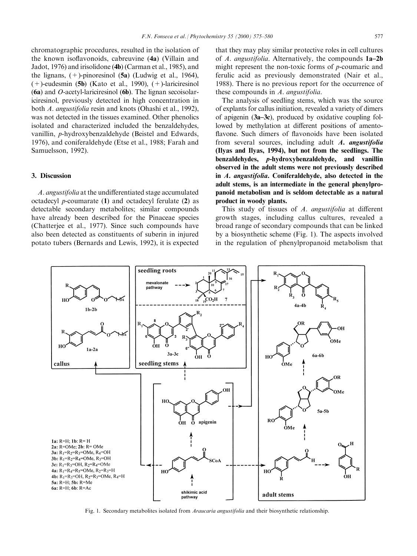chromatographic procedures, resulted in the isolation of the known isoflavonoids, cabreuvine (4a) (Villain and Jadot, 1976) and irisolidone (4b) (Carman et al., 1985), and the lignans,  $(+)$ -pinoresinol  $(5a)$  (Ludwig et al., 1964),  $(+)$ -eudesmin (5b) (Kato et al., 1990),  $(+)$ -lariciresinol (6a) and O-acetyl-lariciresinol (6b). The lignan secoisolariciresinol, previously detected in high concentration in both A. angustifolia resin and knots (Ohashi et al., 1992), was not detected in the tissues examined. Other phenolics isolated and characterized included the benzaldehydes, vanillin, p-hydroxybenzaldehyde (Beistel and Edwards, 1976), and coniferaldehyde (Etse et al., 1988; Farah and Samuelsson, 1992).

#### 3. Discussion

A. angustifolia at the undifferentiated stage accumulated octadecyl p-coumarate (1) and octadecyl ferulate (2) as detectable secondary metabolites; similar compounds have already been described for the Pinaceae species (Chatterjee et al., 1977). Since such compounds have also been detected as constituents of suberin in injured potato tubers (Bernards and Lewis, 1992), it is expected that they may play similar protective roles in cell cultures of  $A$ . angustifolia. Alternatively, the compounds  $1a-2b$ might represent the non-toxic forms of p-coumaric and ferulic acid as previously demonstrated (Nair et al., 1988). There is no previous report for the occurrence of these compounds in A. angustifolia.

The analysis of seedling stems, which was the source of explants for callus initiation, revealed a variety of dimers of apigenin  $(3a-3c)$ , produced by oxidative coupling followed by methylation at different positions of amentoflavone. Such dimers of flavonoids have been isolated from several sources, including adult A. angustifolia (Ilyas and Ilyas, 1994), but not from the seedlings. The benzaldehydes, p-hydroxybenzaldehyde, and vanillin observed in the adult stems were not previously described in A. angustifolia. Coniferaldehyde, also detected in the adult stems, is an intermediate in the general phenylpropanoid metabolism and is seldom detectable as a natural product in woody plants.

This study of tissues of  $A$ . angustifolia at different growth stages, including callus cultures, revealed a broad range of secondary compounds that can be linked by a biosynthetic scheme (Fig. 1). The aspects involved in the regulation of phenylpropanoid metabolism that



Fig. 1. Secondary metabolites isolated from Araucaria angustifolia and their biosynthetic relationship.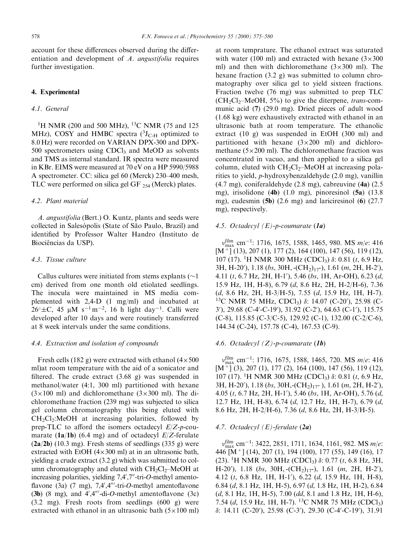account for these differences observed during the differentiation and development of A. angustifolia requires further investigation.

#### 4. Experimental

# 4.1. General

<sup>1</sup>H NMR (200 and 500 MHz), <sup>13</sup>C NMR (75 and 125 MHz), COSY and HMBC spectra  $(^{3}J_{C-H}$  optimized to 8.0 Hz) were recorded on VARIAN DPX-300 and DPX- $500$  spectrometers using CDCl<sub>3</sub> and MeOD as solvents and TMS as internal standard. IR spectra were measured in KBr. EIMS were measured at 70 eV on a HP 5990/5988 A spectrometer. CC: silica gel 60 (Merck) 230–400 mesh, TLC were performed on silica gel GF  $_{254}$  (Merck) plates.

## 4.2. Plant material

A. angustifolia (Bert.) O. Kuntz, plants and seeds were collected in Salesópolis (State of São Paulo, Brazil) and identified by Professor Walter Handro (Instituto de Biociências da USP).

# 4.3. Tissue culture

Callus cultures were initiated from stems explants  $(\sim]$ cm) derived from one month old etiolated seedlings. The inocula were maintained in MS media complemented with 2,4-D (1 mg/ml) and incubated at  $26^{\circ} \pm C$ , 45 µM s<sup>-1</sup>m<sup>-2</sup>, 16 h light day<sup>-1</sup>. Calli were developed after 10 days and were routinely transferred at 8 week intervals under the same conditions.

#### 4.4. Extraction and isolation of compounds

Fresh cells (182 g) were extracted with ethanol  $(4 \times 500)$ ml)at room temperature with the aid of a sonicator and filtered. The crude extract  $(3.68 \text{ g})$  was suspended in methanol/water (4:1, 300 ml) partitioned with hexane  $(3\times100 \text{ ml})$  and dichloromethane  $(3\times300 \text{ ml})$ . The dichloromethane fraction (239 mg) was subjected to silica gel column chromatography this being eluted with  $CH_2Cl_2$ :MeOH at increasing polarities, followed by prep-TLC to afford the isomers octadecyl  $E/Z$ -p-coumarate (1a/1b) (6.4 mg) and of octadecyl  $E/Z$ -ferulate  $(2a/2b)$  (10.3 mg). Fresh stems of seedlings (335 g) were extracted with EtOH  $(4 \times 300 \text{ ml})$  at in an ultrasonic bath, yielding a crude extract (3.2 g) which was submitted to column chromatography and eluted with  $CH_2Cl_2$ -MeOH at increasing polarities, yielding  $7,4',7''$ -tri-O-methyl amentoflavone (3a) (7 mg),  $7,4',4''$ -tri-O-methyl amentoflavone (3b) (8 mg), and  $4^{\prime}$ ,  $4^{\prime\prime\prime}$ -di-O-methyl amentoflavone (3c) (3.2 mg). Fresh roots from seedlings (600 g) were extracted with ethanol in an ultrasonic bath  $(5 \times 100 \text{ ml})$ 

at room temprature. The ethanol extract was saturated with water (100 ml) and extracted with hexane  $(3 \times 300)$ ml) and then with dichloromethane  $(3 \times 300 \text{ ml})$ . The hexane fraction (3.2 g) was submitted to column chromatography over silica gel to yield sixteen fractions. Fraction twelve (76 mg) was submitted to prep TLC  $(CH_2Cl_2-MeOH, 5\%)$  to give the diterpene, *trans-com*munic acid (7) (29.0 mg). Dried pieces of adult wood (1.68 kg) were exhaustively extracted with ethanol in an ultrasonic bath at room temperature. The ethanolic extract (10 g) was suspended in EtOH (300 ml) and partitioned with hexane  $(3 \times 200)$  ml) and dichloromethane  $(5 \times 200 \text{ ml})$ . The dichloromethane fraction was concentrated in vacuo, and then applied to a silica gel column, eluted with  $CH_2Cl_2$ -MeOH at increasing polarities to yield, p-hydroxybenzaldehyde (2.0 mg), vanillin (4.7 mg), coniferaldehyde (2.8 mg), cabreuvine (4a) (2.5 mg), irisolidone (4b) (1.0 mg), pinoresinol (5a) (13.8 mg), eudesmin (5b) (2.6 mg) and lariciresinol (6) (27.7 mg), respectively.

#### 4.5. Octadecyl  $(E)$ -p-coumarate  $(1a)$

 $v_{\text{max}}^{\text{film}}$  cm<sup>-1</sup>: 1716, 1675, 1588, 1465, 980. MS m/e: 416 [M+] (13), 207 (1), 177 (2), 164 (100), 147 (56), 119 (12), 107 (17). <sup>1</sup>H NMR 300 MHz (CDCl<sub>3</sub>) δ: 0.81 (t, 6.9 Hz,  $3H, H-20'$ ),  $1.18$  (bs,  $30H, -(CH_2)_{17}$ ),  $1.61$  (m,  $2H, H-2'$ ), 4.11 (*t*, 6.7 Hz, 2H, H-1'), 5.46 (*bs*, 1H, Ar-OH), 6.23 (*d*, 15.9 Hz, 1H, H-8), 6.79 (d, 8.6 Hz, 2H, H-2/H-6), 7.36 (d, 8.6 Hz, 2H, H-3/H-5), 7.55 (d, 15.9 Hz, 1H, H-7). <sup>13</sup>C NMR 75 MHz, CDCl<sub>3</sub>)  $\delta$ : 14.07 (C-20'), 25.98 (C-3'), 29.68 (C-4'-C-19'), 31.92 (C-2'), 64.63 (C-1'), 115.75 (C-8), 115.85 (C-3/C-5), 129.92 (C-1), 132.00 (C-2/C-6), 144.34 (C-24), 157.78 (C-4), 167.53 (C-9).

#### 4.6. Octadecyl  $(Z)$ -p-coumarate (1b)

 $v_{\text{max}}^{\text{film}}$  cm<sup>-1</sup>: 1716, 1675, 1588, 1465, 720. MS *m*/e: 416  $[M<sup>4</sup>]$  (3), 207 (1), 177 (2), 164 (100), 147 (56), 119 (12), 107 (17). <sup>1</sup>H NMR 300 MHz (CDCl<sub>3</sub>) δ: 0.81 (t, 6.9 Hz,  $3H, H-20'$ ),  $1.18$  (bs,  $30H,$ -(CH<sub>2</sub>)<sub>17</sub>-),  $1.61$  (m, 2H, H-2'), 4.05 (*t*, 6.7 Hz, 2H, H-1'), 5.46 (*bs*, 1H, Ar-OH), 5.76 (*d*, 12.7 Hz, 1H, H-8), 6.74 (d, 12.7 Hz, 1H, H-7), 6.79 (d, 8.6 Hz, 2H, H-2/H-6), 7.36 (d, 8.6 Hz, 2H, H-3/H-5).

#### 4.7. Octadecyl  $(E)$ -ferulate  $(2a)$

 $v_{\text{max}}^{\text{film}}$  cm<sup>-1</sup>: 3422, 2851, 1711, 1634, 1161, 982. MS *m*/*e*: 446 [M+] (14), 207 (1), 194 (100), 177 (55), 149 (16), 17 (23). <sup>1</sup>H NMR 300 MHz (CDCl<sub>3</sub>)  $\delta$ : 0.77 (t, 6.8 Hz, 3H, H-20'), 1.18 (bs, 30H,  $\text{-}(CH_2)_{17}$ -), 1.61 (m, 2H, H-2'), 4.12  $(t, 6.8$  Hz, 1H, H-1'), 6.22  $(d, 15.9$  Hz, 1H, H-8), 6.84 (d, 8.1 Hz, 1H, H-5), 6.97 (d, 1.8 Hz, 1H, H-2), 6.84  $(d, 8.1 \text{ Hz}, 1H, H-5), 7.00 (dd, 8.1 \text{ and } 1.8 \text{ Hz}, 1H, H-6),$ 7.54 (d, 15.9 Hz, 1H, H-7). <sup>13</sup>C NMR 75 MHz (CDCl<sub>3</sub>) δ: 14.11 (C-20'), 25.98 (C-3'), 29.30 (C-4'-C-19'), 31.91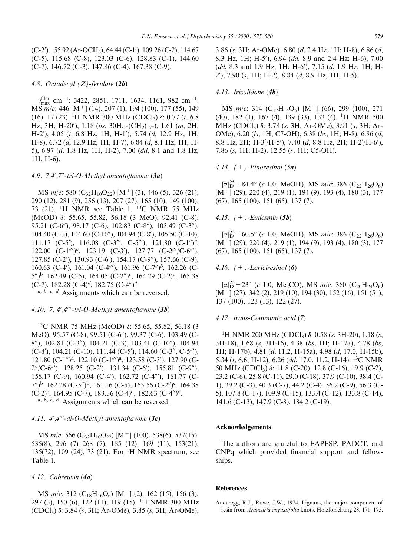$(C-2')$ , 55.92 (Ar-OCH<sub>3</sub>), 64.44 (C-1'), 109.26 (C-2), 114.67 (C-5), 115.68 (C-8), 123.03 (C-6), 128.83 (C-1), 144.60 (C-7), 146.72 (C-3), 147.86 (C-4), 167.38 (C-9).

### 4.8. Octadecyl  $(Z)$ -ferulate  $(2b)$

 $v_{\rm max}^{\rm film}$  cm<sup>-1</sup>: 3422, 2851, 1711, 1634, 1161, 982 cm<sup>-1</sup>. MS m/e: 446 [M<sup>+</sup>] (14), 207 (1), 194 (100), 177 (55), 149 (16), 17 (23). <sup>1</sup>H NMR 300 MHz (CDCl<sub>3</sub>)  $\delta$ : 0.77 (*t*, 6.8) Hz, 3H, H-20'), 1.18 (bs, 30H,  $\text{-}(CH_2)_{17}$ ), 1.61 (m, 2H, H-2'), 4.05 (t, 6.8 Hz, 1H, H-1'), 5.74 (d, 12.9 Hz, 1H, H-8), 6.72 (d, 12.9 Hz, 1H, H-7), 6.84 (d, 8.1 Hz, 1H, H-5), 6.97 (d, 1.8 Hz, 1H, H-2), 7.00 (dd, 8.1 and 1.8 Hz, 1H, H-6).

#### 4.9.  $7.4^{\prime}$ , 7"-tri-O-Methyl amentoflavone (3a)

MS  $m/e$ : 580 (C<sub>32</sub>H<sub>10</sub>O<sub>22</sub>) [M<sup>+</sup>] (3), 446 (5), 326 (21), 290 (12), 281 (9), 256 (13), 207 (27), 165 (10), 149 (100), 73 (21). <sup>1</sup>H NMR see Table 1. <sup>13</sup>C NMR 75 MHz (MeOD)  $\delta$ : 55.65, 55.82, 56.18 (3 MeO), 92.41 (C-8), 95.21 (C-6"), 98.17 (C-6), 102.83 (C-8"), 103.49 (C-3"), 104.40 (C-3), 104.60 (C-10"), 104.94 (C-8"), 105.50 (C-10), 111.17 (C-5'), 116.08 (C-3''', C-5'''), 121.80 (C-1'')<sup>a</sup>, 122.00  $(C-1'')^a$ , 123.19  $(C-3')$ , 127.77  $(C-2'''/C-6'')$ , 127.85 (C-2'), 130.93 (C-6'), 154.17 (C-9"), 157.66 (C-9), 160.63 (C-4'), 161.04 (C-4"'), 161.96 (C-7")<sup>b</sup>, 162.26 (C- $(5\%)$ <sup>b</sup>, 162.49 (C-5), 164.05 (C-2")<sup>c</sup>, 164.29 (C-2)<sup>c</sup>, 165.38 (C-7), 182.28 (C-4)<sup>d</sup>, 182.75 (C-4")<sup>d</sup>.

 $a, b, c, d$ . Assignments which can be reversed.

## 4.10. 7. 4'.4'''-tri-O-Methyl amentoflayone  $(3b)$

<sup>13</sup>C NMR 75 MHz (MeOD)  $\delta$ : 55.65, 55.82, 56.18 (3 MeO), 95.57 (C-8), 99.51 (C-6"), 99.37 (C-6), 103.49 (C-8"), 102.81 (C-3"), 104.21 (C-3), 103.41 (C-10"), 104.94  $(C-8')$ , 104.21  $(C-10)$ , 111.44  $(C-5')$ , 114.60  $(C-3''$ ,  $C-5''$ ), 121.80 (C-1")<sup>a</sup>, 122.10 (C-1"')<sup>a</sup>, 123.58 (C-3'), 127.90 (C- $2''/C-6''$ , 128.25 (C-2'), 131.34 (C-6'), 155.81 (C-9"), 158.17 (C-9), 160.94 (C-4'), 162.72 (C-4"'), 161.77 (C- $(7'')^b$ , 162.28 (C-5")<sup>b</sup>, 161.16 (C-5), 163.56 (C-2")<sup>c</sup>, 164.38  $(C-2)^c$ , 164.95 (C-7), 183.36 (C-4)<sup>d</sup>, 182.63 (C-4")<sup>d</sup>. a, b, c, d. Assignments which can be reversed.

#### 4.11.  $4^{\prime\prime}$ ,  $4^{\prime\prime\prime}$ -di-O-Methyl amentoflavone (3c)

MS  $m/e$ : 566 (C<sub>32</sub>H<sub>10</sub>O<sub>22</sub>) [M<sup>+</sup>] (100), 538(6), 537(15), 535(8), 296 (7) 268 (7), 185 (12), 169 (11), 153(21), 135(72), 109 (24), 73 (21). For <sup>1</sup>H NMR spectrum, see Table 1.

#### 4.12. Cabreuvin  $(4a)$

MS  $m/e$ : 312 (C<sub>18</sub>H<sub>16</sub>O<sub>6</sub>) [M<sup>+</sup>] (2), 162 (15), 156 (3), 297 (3), 150 (6), 122 (11), 119 (15). <sup>1</sup>H NMR 300 MHz  $(CDCl<sub>3</sub>)$   $\delta$ : 3.84  $(s, 3H; Ar-OMe)$ , 3.85  $(s, 3H; Ar-OMe)$ ,

3.86 (s, 3H; Ar-OMe), 6.80 (d, 2.4 Hz, 1H; H-8), 6.86 (d, 8.3 Hz, 1H; H-5'), 6.94 (dd, 8.9 and 2.4 Hz; H-6), 7.00 (dd, 8.3 and 1.9 Hz, 1H; H-6'), 7.15 (d, 1.9 Hz, 1H; H-2'), 7.90 (s, 1H; H-2), 8.84 (d, 8.9 Hz, 1H; H-5).

#### 4.13. Irisolidone (4b)

MS  $m/e$ : 314 (C<sub>17</sub>H<sub>14</sub>O<sub>6</sub>) [M<sup>+</sup>] (66), 299 (100), 271 (40), 182 (1), 167 (4), 139 (33), 132 (4). <sup>1</sup>H NMR 500 MHz (CDCl<sub>3</sub>)  $\delta$ : 3.78 (s, 3H; Ar-OMe), 3.91 (s, 3H; Ar-OMe), 6.20 (ls, 1H; C7-OH), 6.38 (bs, 1H; H-8), 6.86 (d, 8.8 Hz, 2H; H-3'/H-5'), 7.40 (d, 8.8 Hz, 2H; H-2'/H-6'), 7.86 (s, 1H; H-2), 12.55 (s, 1H; C5-OH).

### 4.14.  $(+)$ -Pinoresinol  $(5a)$

 $\lceil \alpha \rceil_{\mathbf{D}}^{25} + 84.4^{\circ}$  (c 1.0; MeOH), MS m/e: 386 (C<sub>22</sub>H<sub>26</sub>O<sub>6</sub>)  $[M<sup>+</sup>]$  (29), 220 (4), 219 (1), 194 (9), 193 (4), 180 (3), 177  $(67)$ , 165  $(100)$ , 151  $(65)$ , 137  $(7)$ .

## 4.15.  $(+)$ -Eudesmin (5b)

 $\lceil \alpha \rceil_{\mathsf{D}}^{25} + 60.5^{\circ}$  (c 1.0; MeOH), MS m/e: 386 (C<sub>22</sub>H<sub>26</sub>O<sub>6</sub>)  $[M<sup>+</sup>]$  (29), 220 (4), 219 (1), 194 (9), 193 (4), 180 (3), 177  $(67)$ , 165  $(100)$ , 151  $(65)$ , 137  $(7)$ .

## 4.16.  $(+)$ -Lariciresinol (6)

 $\lceil \alpha \rceil_{\mathbf{D}}^{25} + 23^{\circ}$  (c 1.0; Me<sub>2</sub>CO), MS m/e: 360 (C<sub>20</sub>H<sub>24</sub>O<sub>6</sub>)  $[M<sup>+</sup>]$  (27), 342 (2), 219 (10), 194 (30), 152 (16), 151 (51), 137 (100), 123 (13), 122 (27).

#### 4.17. trans-Communic acid (7)

<sup>1</sup>H NMR 200 MHz (CDCl<sub>3</sub>)  $\delta$ : 0.58 (s, 3H-20), 1.18 (s, 3H-18), 1.68 (s, 3H-16), 4.38 (bs, 1H; H-17a), 4.78 (bs, 1H; H-17b), 4.81 (d, 11.2, H-15a), 4.98 (d, 17.0, H-15b), 5.34 (t, 6.6, H-12), 6.26 (dd, 17.0, 11.2, H-14). <sup>13</sup>C NMR 50 MHz (CDCl<sub>3</sub>) δ: 11.8 (C-20), 12.8 (C-16), 19.9 (C-2), 23.2 (C-6), 25.8 (C-11), 29.0 (C-18), 37.9 (C-10), 38.4 (C-1), 39.2 (C-3), 40.3 (C-7), 44.2 (C-4), 56.2 (C-9), 56.3 (C-5), 107.8 (C-17), 109.9 (C-15), 133.4 (C-12), 133.8 (C-14), 141.6 (C-13), 147.9 (C-8), 184.2 (C-19).

#### Acknowledgements

The authors are grateful to FAPESP, PADCT, and CNP<sub>a</sub> which provided financial support and fellowships.

#### **References**

Anderegg, R.J., Rowe, J.W., 1974. Lignans, the major component of resin from Araucaria angustifolia knots. Holzforschung 28, 171-175.